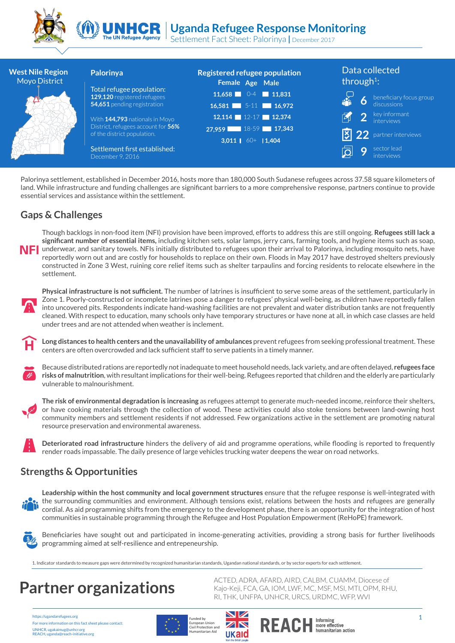



Settlement Fact Sheet: Palorinya **|** December 2017

| <b>West Nile Region</b><br>Moyo District | Palorinya                                                         | <b>Registered refugee population</b><br>Female Age Male | Data collected<br>through <sup>1</sup> :                   |
|------------------------------------------|-------------------------------------------------------------------|---------------------------------------------------------|------------------------------------------------------------|
|                                          | Total refugee population:<br>129,120 registered refugees          | 11,658 $\Box$ 0-4 $\Box$ 11,831                         |                                                            |
|                                          | 54,651 pending registration                                       | 16,581 $5-11$ 16,972                                    | beneficiary focus group<br>discussions<br>$\boldsymbol{6}$ |
|                                          | With 144,793 nationals in Moyo                                    | 12,114 12-17 12,374                                     | <b>2</b> key informant                                     |
|                                          | District, refugees account for 56%<br>of the district population. | 27,959 18-59 17,343                                     | <b>13</b> 22 partner interviews                            |
|                                          |                                                                   | 3,011   $60+$   1,404                                   |                                                            |
|                                          | Settlement first established:<br>December 9, 2016                 |                                                         | sector lead<br>9<br><i>interviews</i>                      |

Palorinya settlement, established in December 2016, hosts more than 180,000 South Sudanese refugees across 37.58 square kilometers of land. While infrastructure and funding challenges are significant barriers to a more comprehensive response, partners continue to provide essential services and assistance within the settlement.

#### **Gaps & Challenges**

Though backlogs in non-food item (NFI) provision have been improved, efforts to address this are still ongoing. **Refugees still lack a significant number of essential items,** including kitchen sets, solar lamps, jerry cans, farming tools, and hygiene items such as soap, NFI underwear, and sanitary towels. NFIs initially distributed to refugees upon their arrival to Palorinya, including mosquito nets, have reportedly worn out and are costly for households to replace on their own. Floods in May 2017 have destroyed shelters previously constructed in Zone 3 West, ruining core relief items such as shelter tarpaulins and forcing residents to relocate elsewhere in the settlement.



**Physical infrastructure is not sufficient.** The number of latrines is insufficient to serve some areas of the settlement, particularly in Zone 1. Poorly-constructed or incomplete latrines pose a danger to refugees' physical well-being, as children have reportedly fallen into uncovered pits. Respondents indicate hand-washing facilities are not prevalent and water distribution tanks are not frequently cleaned. With respect to education, many schools only have temporary structures or have none at all, in which case classes are held under trees and are not attended when weather is inclement.

**Long distances to health centers and the unavailability of ambulances** prevent refugees from seeking professional treatment. These centers are often overcrowded and lack sufficient staff to serve patients in a timely manner.



Because distributed rations are reportedly not inadequate to meet household needs, lack variety, and are often delayed, **refugees face risks of malnutrition**, with resultant implications for their well-being. Refugees reported that children and the elderly are particularly vulnerable to malnourishment.



**The risk of environmental degradation is increasing** as refugees attempt to generate much-needed income, reinforce their shelters, or have cooking materials through the collection of wood. These activities could also stoke tensions between land-owning host community members and settlement residents if not addressed. Few organizations active in the settlement are promoting natural resource preservation and environmental awareness.

**Deteriorated road infrastructure** hinders the delivery of aid and programme operations, while flooding is reported to frequently render roads impassable. The daily presence of large vehicles trucking water deepens the wear on road networks.

### **Strengths & Opportunities**



**Leadership within the host community and local government structures** ensure that the refugee response is well-integrated with the surrounding communities and environment. Although tensions exist, relations between the hosts and refugees are generally cordial. As aid programming shifts from the emergency to the development phase, there is an opportunity for the integration of host communities in sustainable programming through the Refugee and Host Population Empowerment (ReHoPE) framework.



Beneficiaries have sought out and participated in income-generating activities, providing a strong basis for further livelihoods programming aimed at self-resilience and entrepeneurship.

ukaid

1. Indicator standards to measure gaps were determined by recognized humanitarian standards, Ugandan national standards, or by sector experts for each settlement.

https://ugandarefugees.org For more information on this fact sheet please contact: UNHCR, ugakaimug@unhcr.org REACH, uganda@reach-initiative.org



ACTED, ADRA, AFARD, AIRD, CALBM, CUAMM, Diocese of Kajo-Keji, FCA, GA, IOM, LWF, MC, MSF, MSI, MTI, OPM, RHU, **Partner organizations**<br>RI, THK, UNFPA, UNHCR, URCS, URDMC, WE, MSI, MTI, OF

more effective<br>humanitarian action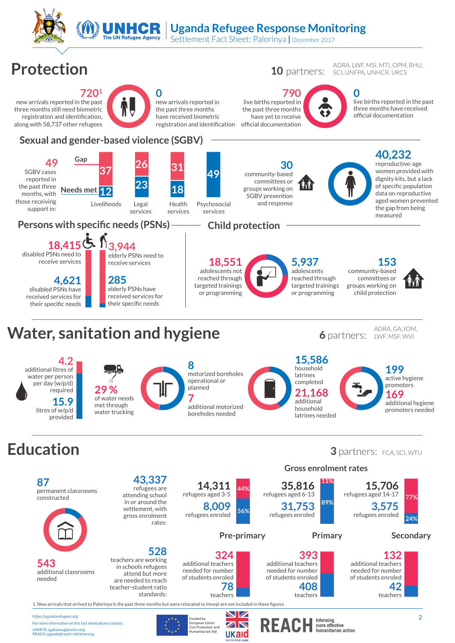

## **Water, sanitation and hygiene** 6 **6** partners:

For more information on this fact sheet please contact:

UNHCR, ugakaimug@unhcr.org REACH, uganda@reach-initiative.org

ADRA, GA, IOM, LWF, MSF, WVI

> **199** active hygiene promoters **169**

additional hygiene promoters needed

**Education** 15,300<br>
household<br>
latrines<br>
completed<br>
21,168<br>
additional<br>
household<br>
latrines needed **4.2** additional litres of water per person per day (w/p/d)  $required$ of water needs met through water trucking **15,586** household latrines completed **8** motorized boreholes operational or planned **7** additional motorized boreholes needed **21,168** additional household latrines needed **15.9** litres of w/p/d provided 29 %<br>
of water needs<br>
met through<br>
water trucking 79<br>79<br>79<br>79<br>79<br>79<br>79<br>79<br>79<br>2<br> 3 partners: FCA, SCI, WTU



European Union<br>Civil Protection and<br>Humanitarian Aid